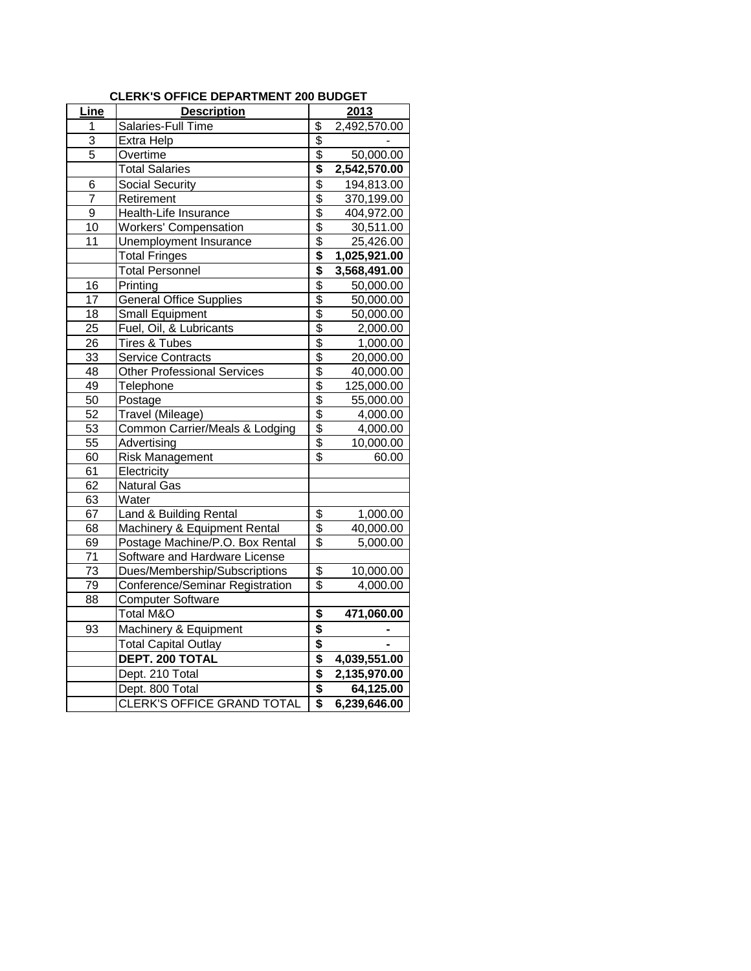| <b>CLERK'S OFFICE DEPARTMENT 200 BUDGET</b> |
|---------------------------------------------|
|---------------------------------------------|

| Line            | <b>Description</b>                 | 2013                      |              |  |
|-----------------|------------------------------------|---------------------------|--------------|--|
| 1               | Salaries-Full Time                 | \$                        | 2,492,570.00 |  |
| 3               | Extra Help                         | \$                        |              |  |
| $\overline{5}$  | Overtime                           | \$                        | 50,000.00    |  |
|                 | <b>Total Salaries</b>              | \$                        | 2,542,570.00 |  |
| 6               | <b>Social Security</b>             | $\overline{\$}$           | 194,813.00   |  |
| 7               | Retirement                         | \$                        | 370,199.00   |  |
| 9               | Health-Life Insurance              | \$                        | 404,972.00   |  |
| 10              | Workers' Compensation              | $\overline{\$}$           | 30,511.00    |  |
| 11              | Unemployment Insurance             | \$                        | 25,426.00    |  |
|                 | <b>Total Fringes</b>               | \$                        | 1,025,921.00 |  |
|                 | <b>Total Personnel</b>             | \$                        | 3,568,491.00 |  |
| 16              | Printing                           | $\overline{\$}$           | 50,000.00    |  |
| 17              | <b>General Office Supplies</b>     | $\overline{\$}$           | 50,000.00    |  |
| 18              | <b>Small Equipment</b>             | $\overline{\mathbf{S}}$   | 50,000.00    |  |
| 25              | Fuel, Oil, & Lubricants            | \$                        | 2,000.00     |  |
| 26              | Tires & Tubes                      | $\overline{\mathcal{E}}$  | 1,000.00     |  |
| 33              | <b>Service Contracts</b>           | $\overline{\mathbf{S}}$   | 20,000.00    |  |
| 48              | <b>Other Professional Services</b> | \$                        | 40,000.00    |  |
| 49              | Telephone                          | $\overline{\$}$           | 125,000.00   |  |
| 50              | Postage                            | $\overline{\$}$           | 55,000.00    |  |
| 52              | Travel (Mileage)                   | $\overline{\$}$           | 4,000.00     |  |
| 53              | Common Carrier/Meals & Lodging     | \$                        | 4,000.00     |  |
| 55              | Advertising                        | $\overline{\mathfrak{s}}$ | 10,000.00    |  |
| 60              | <b>Risk Management</b>             | \$                        | 60.00        |  |
| 61              | Electricity                        |                           |              |  |
| 62              | <b>Natural Gas</b>                 |                           |              |  |
| 63              | Water                              |                           |              |  |
| 67              | Land & Building Rental             | \$                        | 1,000.00     |  |
| 68              | Machinery & Equipment Rental       | \$                        | 40,000.00    |  |
| 69              | Postage Machine/P.O. Box Rental    | $\overline{\$}$           | 5,000.00     |  |
| 71              | Software and Hardware License      |                           |              |  |
| $\overline{73}$ | Dues/Membership/Subscriptions      | \$                        | 10,000.00    |  |
| 79              | Conference/Seminar Registration    | \$                        | 4,000.00     |  |
| 88              | <b>Computer Software</b>           |                           |              |  |
|                 | Total M&O                          | \$                        | 471,060.00   |  |
| 93              | Machinery & Equipment              | \$                        |              |  |
|                 | <b>Total Capital Outlay</b>        | \$                        |              |  |
|                 | DEPT. 200 TOTAL                    | \$                        | 4,039,551.00 |  |
|                 | Dept. 210 Total                    | \$                        | 2,135,970.00 |  |
|                 | Dept. 800 Total                    | \$                        | 64,125.00    |  |
|                 | <b>CLERK'S OFFICE GRAND TOTAL</b>  | \$                        | 6,239,646.00 |  |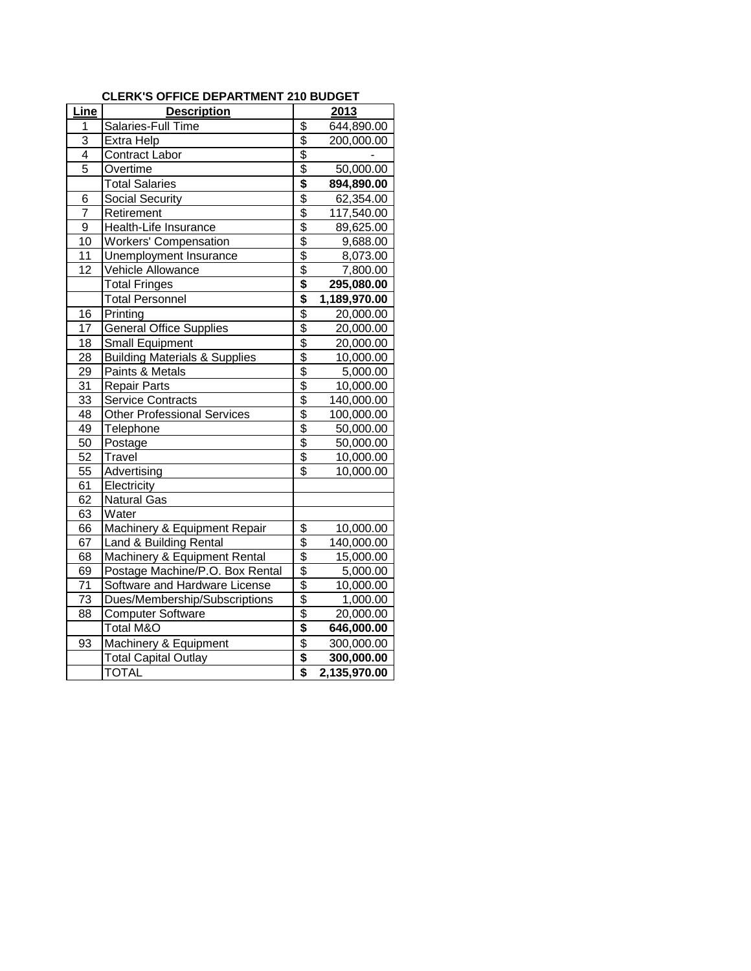| Line           | <b>Description</b>                       | 2013                      |              |  |
|----------------|------------------------------------------|---------------------------|--------------|--|
| 1              | Salaries-Full Time                       | \$                        | 644,890.00   |  |
| 3              | Extra Help                               |                           | 200,000.00   |  |
| 4              | <b>Contract Labor</b>                    | $\frac{6}{9}$             |              |  |
| $\overline{5}$ | Overtime                                 |                           | 50,000.00    |  |
|                | <b>Total Salaries</b>                    | \$                        | 894,890.00   |  |
| 6              | Social Security                          | \$                        | 62,354.00    |  |
| $\overline{7}$ | Retirement                               |                           | 117,540.00   |  |
| 9              | Health-Life Insurance                    | $\frac{6}{3}$             | 89,625.00    |  |
| 10             | <b>Workers' Compensation</b>             |                           | 9,688.00     |  |
| 11             | Unemployment Insurance                   | $\frac{6}{3}$             | 8,073.00     |  |
| 12             | Vehicle Allowance                        | \$                        | 7,800.00     |  |
|                | <b>Total Fringes</b>                     | $\overline{\mathbf{S}}$   | 295,080.00   |  |
|                | <b>Total Personnel</b>                   | \$                        | 1,189,970.00 |  |
| 16             | Printing                                 | $\overline{\$}$           | 20,000.00    |  |
| 17             | <b>General Office Supplies</b>           | $\overline{\mathfrak{s}}$ | 20,000.00    |  |
| 18             | Small Equipment                          | \$                        | 20,000.00    |  |
| 28             | <b>Building Materials &amp; Supplies</b> |                           | 10,000.00    |  |
| 29             | Paints & Metals                          | \$\$                      | 5,000.00     |  |
| 31             | <b>Repair Parts</b>                      |                           | 10,000.00    |  |
| 33             | <b>Service Contracts</b>                 | $rac{6}{3}$               | 140,000.00   |  |
| 48             | Other Professional Services              |                           | 100,000.00   |  |
| 49             | Telephone                                |                           | 50,000.00    |  |
| 50             | Postage                                  | $\frac{6}{9}$             | 50,000.00    |  |
| 52             | Travel                                   |                           | 10,000.00    |  |
| 55             | Advertising                              | $\overline{\$}$           | 10,000.00    |  |
| 61             | Electricity                              |                           |              |  |
| 62             | <b>Natural Gas</b>                       |                           |              |  |
| 63             | Water                                    |                           |              |  |
| 66             | Machinery & Equipment Repair             | \$                        | 10,000.00    |  |
| 67             | Land & Building Rental                   | $\frac{6}{3}$             | 140,000.00   |  |
| 68             | Machinery & Equipment Rental             |                           | 15,000.00    |  |
| 69             | Postage Machine/P.O. Box Rental          | $\overline{\$}$           | 5,000.00     |  |
| 71             | Software and Hardware License            | \$                        | 10,000.00    |  |
| 73             | Dues/Membership/Subscriptions            | $\overline{\mathcal{E}}$  | 1,000.00     |  |
| 88             | <b>Computer Software</b>                 | \$                        | 20,000.00    |  |
|                | Total M&O                                | \$                        | 646,000.00   |  |
| 93             | Machinery & Equipment                    | \$                        | 300,000.00   |  |
|                | <b>Total Capital Outlay</b>              | \$                        | 300,000.00   |  |
|                | <b>TOTAL</b>                             | $\overline{\mathbf{s}}$   | 2,135,970.00 |  |

## **CLERK'S OFFICE DEPARTMENT 210 BUDGET**